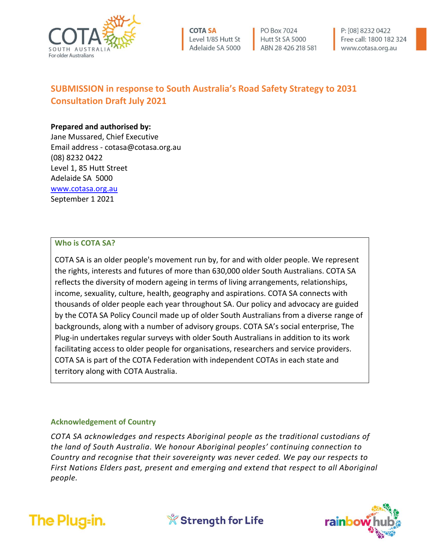

**COTA SA** Level 1/85 Hutt St Adelaide SA 5000

PO Box 7024 Hutt St SA 5000 ABN 28 426 218 581 P: [08] 8232 0422 Free call: 1800 182 324 www.cotasa.org.au

# **SUBMISSION in response to South Australia's Road Safety Strategy to 2031 Consultation Draft July 2021**

# **Prepared and authorised by:**

Jane Mussared, Chief Executive Email address - cotasa@cotasa.org.au (08) 8232 0422 Level 1, 85 Hutt Street Adelaide SA 5000 [www.cotasa.org.au](http://www.cotasa.org.au/) September 1 2021

# **Who is COTA SA?**

COTA SA is an older people's movement run by, for and with older people. We represent the rights, interests and futures of more than 630,000 older South Australians. COTA SA reflects the diversity of modern ageing in terms of living arrangements, relationships, income, sexuality, culture, health, geography and aspirations. COTA SA connects with thousands of older people each year throughout SA. Our policy and advocacy are guided by the COTA SA Policy Council made up of older South Australians from a diverse range of backgrounds, along with a number of advisory groups. COTA SA's social enterprise, The Plug-in undertakes regular surveys with older South Australians in addition to its work facilitating access to older people for organisations, researchers and service providers. COTA SA is part of the COTA Federation with independent COTAs in each state and territory along with COTA Australia.

# **Acknowledgement of Country**

*COTA SA acknowledges and respects Aboriginal people as the traditional custodians of the land of South Australia. We honour Aboriginal peoples' continuing connection to Country and recognise that their sovereignty was never ceded. We pay our respects to First Nations Elders past, present and emerging and extend that respect to all Aboriginal people.*





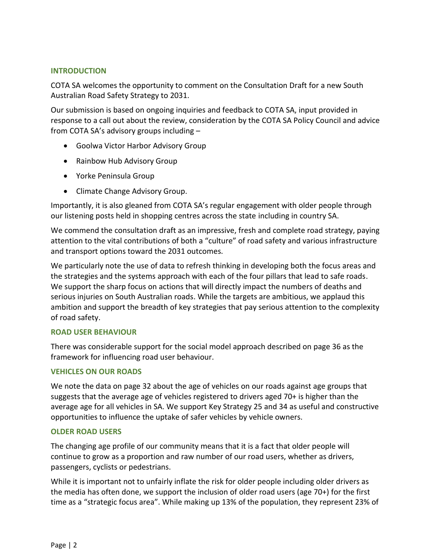### **INTRODUCTION**

COTA SA welcomes the opportunity to comment on the Consultation Draft for a new South Australian Road Safety Strategy to 2031.

Our submission is based on ongoing inquiries and feedback to COTA SA, input provided in response to a call out about the review, consideration by the COTA SA Policy Council and advice from COTA SA's advisory groups including –

- Goolwa Victor Harbor Advisory Group
- Rainbow Hub Advisory Group
- Yorke Peninsula Group
- Climate Change Advisory Group.

Importantly, it is also gleaned from COTA SA's regular engagement with older people through our listening posts held in shopping centres across the state including in country SA.

We commend the consultation draft as an impressive, fresh and complete road strategy, paying attention to the vital contributions of both a "culture" of road safety and various infrastructure and transport options toward the 2031 outcomes.

We particularly note the use of data to refresh thinking in developing both the focus areas and the strategies and the systems approach with each of the four pillars that lead to safe roads. We support the sharp focus on actions that will directly impact the numbers of deaths and serious injuries on South Australian roads. While the targets are ambitious, we applaud this ambition and support the breadth of key strategies that pay serious attention to the complexity of road safety.

### **ROAD USER BEHAVIOUR**

There was considerable support for the social model approach described on page 36 as the framework for influencing road user behaviour.

### **VEHICLES ON OUR ROADS**

We note the data on page 32 about the age of vehicles on our roads against age groups that suggests that the average age of vehicles registered to drivers aged 70+ is higher than the average age for all vehicles in SA. We support Key Strategy 25 and 34 as useful and constructive opportunities to influence the uptake of safer vehicles by vehicle owners.

### **OLDER ROAD USERS**

The changing age profile of our community means that it is a fact that older people will continue to grow as a proportion and raw number of our road users, whether as drivers, passengers, cyclists or pedestrians.

While it is important not to unfairly inflate the risk for older people including older drivers as the media has often done, we support the inclusion of older road users (age 70+) for the first time as a "strategic focus area". While making up 13% of the population, they represent 23% of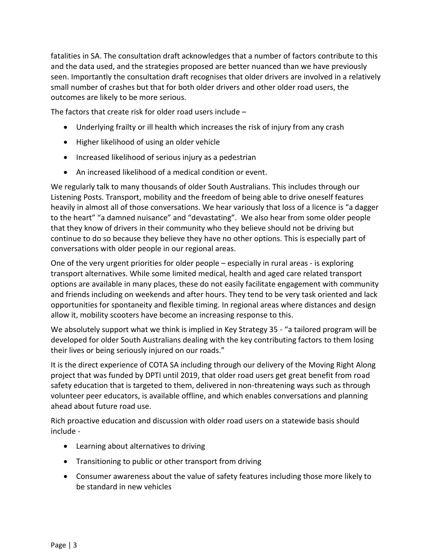fatalities in SA. The consultation draft acknowledges that a number of factors contribute to this and the data used, and the strategies proposed are better nuanced than we have previously seen. Importantly the consultation draft recognises that older drivers are involved in a relatively small number of crashes but that for both older drivers and other older road users, the outcomes are likely to be more serious.

The factors that create risk for older road users include –

- Underlying frailty or ill health which increases the risk of injury from any crash
- Higher likelihood of using an older vehicle
- Increased likelihood of serious injury as a pedestrian
- An increased likelihood of a medical condition or event.

We regularly talk to many thousands of older South Australians. This includes through our Listening Posts. Transport, mobility and the freedom of being able to drive oneself features heavily in almost all of those conversations. We hear variously that loss of a licence is "a dagger to the heart" "a damned nuisance" and "devastating". We also hear from some older people that they know of drivers in their community who they believe should not be driving but continue to do so because they believe they have no other options. This is especially part of conversations with older people in our regional areas.

One of the very urgent priorities for older people – especially in rural areas - is exploring transport alternatives. While some limited medical, health and aged care related transport options are available in many places, these do not easily facilitate engagement with community and friends including on weekends and after hours. They tend to be very task oriented and lack opportunities for spontaneity and flexible timing. In regional areas where distances and design allow it, mobility scooters have become an increasing response to this.

We absolutely support what we think is implied in Key Strategy 35 - "a tailored program will be developed for older South Australians dealing with the key contributing factors to them losing their lives or being seriously injured on our roads."

It is the direct experience of COTA SA including through our delivery of the Moving Right Along project that was funded by DPTI until 2019, that older road users get great benefit from road safety education that is targeted to them, delivered in non-threatening ways such as through volunteer peer educators, is available offline, and which enables conversations and planning ahead about future road use.

Rich proactive education and discussion with older road users on a statewide basis should include -

- Learning about alternatives to driving
- Transitioning to public or other transport from driving
- Consumer awareness about the value of safety features including those more likely to be standard in new vehicles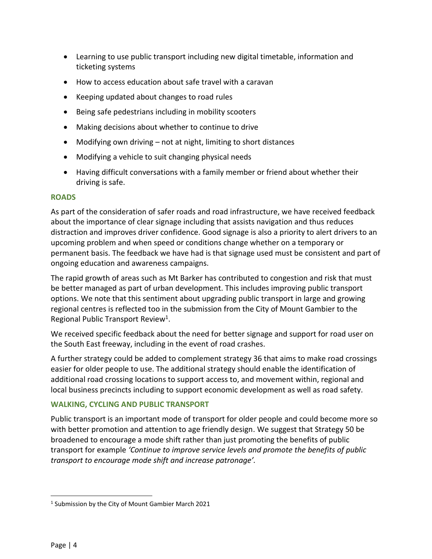- Learning to use public transport including new digital timetable, information and ticketing systems
- How to access education about safe travel with a caravan
- Keeping updated about changes to road rules
- Being safe pedestrians including in mobility scooters
- Making decisions about whether to continue to drive
- Modifying own driving not at night, limiting to short distances
- Modifying a vehicle to suit changing physical needs
- Having difficult conversations with a family member or friend about whether their driving is safe.

# **ROADS**

As part of the consideration of safer roads and road infrastructure, we have received feedback about the importance of clear signage including that assists navigation and thus reduces distraction and improves driver confidence. Good signage is also a priority to alert drivers to an upcoming problem and when speed or conditions change whether on a temporary or permanent basis. The feedback we have had is that signage used must be consistent and part of ongoing education and awareness campaigns.

The rapid growth of areas such as Mt Barker has contributed to congestion and risk that must be better managed as part of urban development. This includes improving public transport options. We note that this sentiment about upgrading public transport in large and growing regional centres is reflected too in the submission from the City of Mount Gambier to the Regional Public Transport Review<sup>1</sup>.

We received specific feedback about the need for better signage and support for road user on the South East freeway, including in the event of road crashes.

A further strategy could be added to complement strategy 36 that aims to make road crossings easier for older people to use. The additional strategy should enable the identification of additional road crossing locations to support access to, and movement within, regional and local business precincts including to support economic development as well as road safety.

# **WALKING, CYCLING AND PUBLIC TRANSPORT**

Public transport is an important mode of transport for older people and could become more so with better promotion and attention to age friendly design. We suggest that Strategy 50 be broadened to encourage a mode shift rather than just promoting the benefits of public transport for example *'Continue to improve service levels and promote the benefits of public transport to encourage mode shift and increase patronage'.*

<sup>1</sup> Submission by the City of Mount Gambier March 2021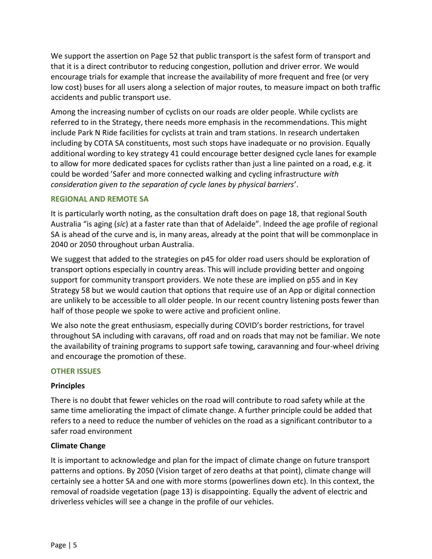We support the assertion on Page 52 that public transport is the safest form of transport and that it is a direct contributor to reducing congestion, pollution and driver error. We would encourage trials for example that increase the availability of more frequent and free (or very low cost) buses for all users along a selection of major routes, to measure impact on both traffic accidents and public transport use.

Among the increasing number of cyclists on our roads are older people. While cyclists are referred to in the Strategy, there needs more emphasis in the recommendations. This might include Park N Ride facilities for cyclists at train and tram stations. In research undertaken including by COTA SA constituents, most such stops have inadequate or no provision. Equally additional wording to key strategy 41 could encourage better designed cycle lanes for example to allow for more dedicated spaces for cyclists rather than just a line painted on a road, e.g. it could be worded 'Safer and more connected walking and cycling infrastructure *with consideration given to the separation of cycle lanes by physical barriers*'.

# **REGIONAL AND REMOTE SA**

It is particularly worth noting, as the consultation draft does on page 18, that regional South Australia "is aging (*sic*) at a faster rate than that of Adelaide". Indeed the age profile of regional SA is ahead of the curve and is, in many areas, already at the point that will be commonplace in 2040 or 2050 throughout urban Australia.

We suggest that added to the strategies on p45 for older road users should be exploration of transport options especially in country areas. This will include providing better and ongoing support for community transport providers. We note these are implied on p55 and in Key Strategy 58 but we would caution that options that require use of an App or digital connection are unlikely to be accessible to all older people. In our recent country listening posts fewer than half of those people we spoke to were active and proficient online.

We also note the great enthusiasm, especially during COVID's border restrictions, for travel throughout SA including with caravans, off road and on roads that may not be familiar. We note the availability of training programs to support safe towing, caravanning and four-wheel driving and encourage the promotion of these.

# **OTHER ISSUES**

### **Principles**

There is no doubt that fewer vehicles on the road will contribute to road safety while at the same time ameliorating the impact of climate change. A further principle could be added that refers to a need to reduce the number of vehicles on the road as a significant contributor to a safer road environment

### **Climate Change**

It is important to acknowledge and plan for the impact of climate change on future transport patterns and options. By 2050 (Vision target of zero deaths at that point), climate change will certainly see a hotter SA and one with more storms (powerlines down etc). In this context, the removal of roadside vegetation (page 13) is disappointing. Equally the advent of electric and driverless vehicles will see a change in the profile of our vehicles.